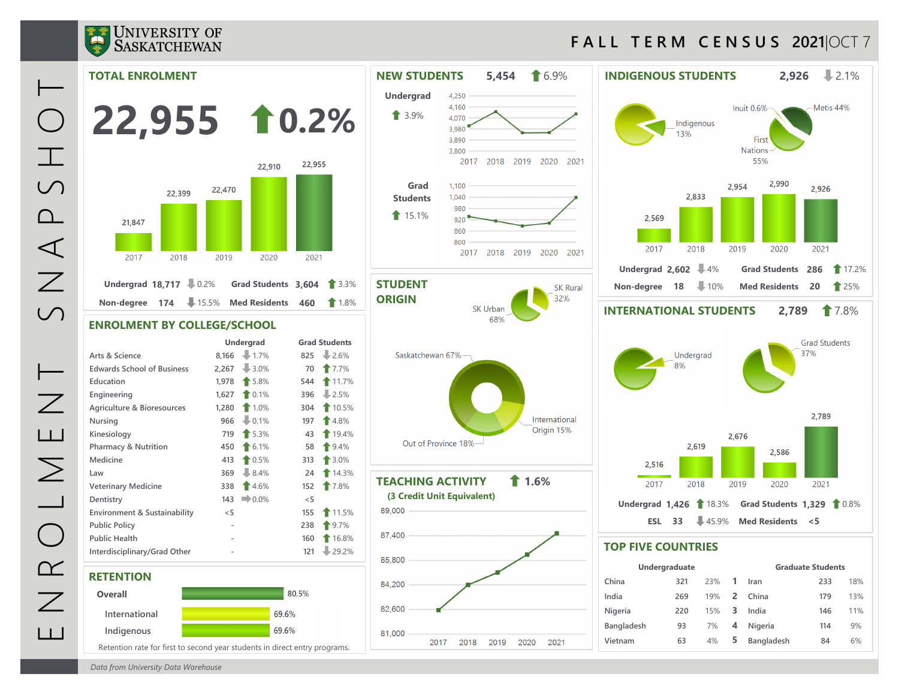

## **F A L L T E R M C E N S U S 2021**|OCT 7

Metis 44%

2,926

2021

**Grad Students** 37%

2,789

2021



*Data from University Data Warehouse*